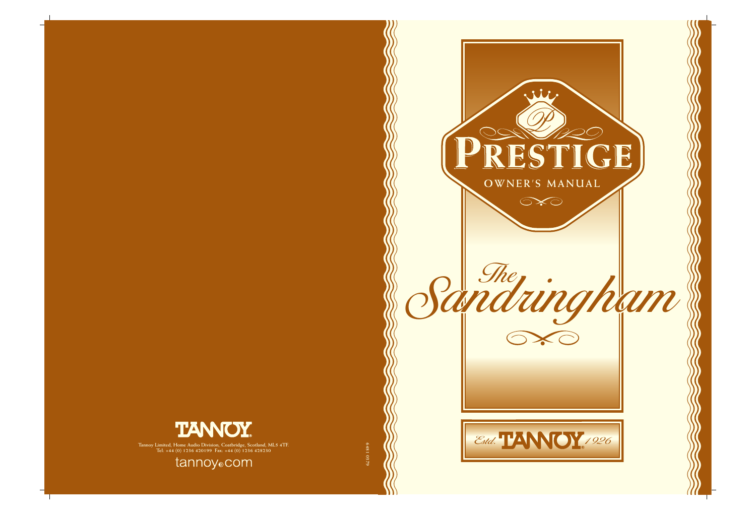

**Francoy Limited, Home Audio Division, Coatbridge, Scotland, ML5 4TF.**<br>
Tel: +44 (0) 1236 420199 Fax: +44 (0) 1236 428230<br> **COM** 



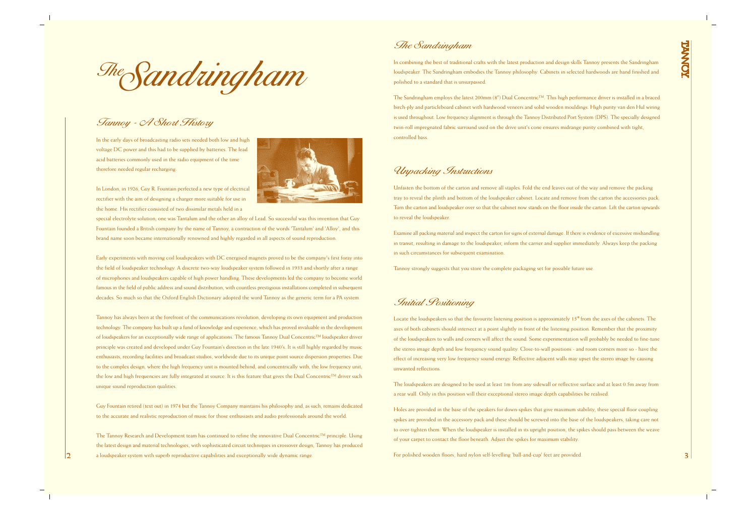## Tannoy - A Short History

In the early days of broadcasting radio sets needed both low and high voltage DC power and this had to be supplied by batteries. The lead acid batteries commonly used in the radio equipment of the time therefore needed regular recharging.



In London, in 1926, Guy R. Fountain perfected a new type of electrical rectifier with the aim of designing a charger more suitable for use in the home. His rectifier consisted of two dissimilar metals held in a

special electrolyte solution; one was Tantalum and the other an alloy of Lead. So successful was this invention that Guy Fountain founded a British company by the name of Tannoy, a contraction of the words 'Tantalum' and 'Alloy', and this brand name soon became internationally renowned and highly regarded in all aspects of sound reproduction.

Early experiments with moving coil loudspeakers with DC energised magnets proved to be the company's first foray into the field of loudspeaker technology. A discrete two-way loudspeaker system followed in 1933 and shortly after a range of microphones and loudspeakers capable of high power handling. These developments led the company to become world famous in the field of public address and sound distribution, with countless prestigious installations completed in subsequent decades. So much so that the Oxford English Dictionary adopted the word Tannoy as the generic term for a PA system.

Tannoy has always been at the forefront of the communications revolution, developing its own equipment and production technology. The company has built up a fund of knowledge and experience, which has proved invaluable in the development of loudspeakers for an exceptionally wide range of applications. The famous Tannoy Dual Concentric™ loudspeaker driver principle was created and developed under Guy Fountain's direction in the late 1940's. It is still highly regarded by music enthusiasts, recording facilities and broadcast studios, worldwide due to its unique point source dispersion properties. Due to the complex design, where the high frequency unit is mounted behind, and concentrically with, the low frequency unit, the low and high frequencies are fully integrated at source. It is this feature that gives the Dual Concentric™ driver such unique sound reproduction qualities.

Guy Fountain retired (text out) in 1974 but the Tannoy Company maintains his philosophy and, as such, remains dedicated to the accurate and realistic reproduction of music for those enthusiasts and audio professionals around the world.

The Tannoy Research and Development team has continued to refine the innovative Dual Concentric™ principle. Using the latest design and material technologies, with sophisticated circuit techniques in crossover design; Tannoy has produced **2** a loudspeaker system with superb reproductive capabilities and exceptionally wide dynamic range.

TheSandringham

#### Initial Positioning

Locate the loudspeakers so that the favourite listening position is approximately 15° from the axes of the cabinets. The axes of both cabinets should intersect at a point slightly in front of the listening position. Remember that the proximity of the loudspeakers to walls and corners will affect the sound. Some experimentation will probably be needed to fine-tune the stereo image depth and low frequency sound quality. Close-to-wall positions - and room corners more so - have the effect of increasing very low frequency sound energy. Reflective adjacent walls may upset the stereo image by causing unwanted reflections.

The loudspeakers are designed to be used at least 1m from any sidewall or reflective surface and at least 0.5m away from a rear wall. Only in this position will their exceptional stereo image depth capabilities be realised.

Holes are provided in the base of the speakers for down-spikes that give maximum stability, these special floor coupling spikes are provided in the accessory pack and these should be screwed into the base of the loudspeakers, taking care not to over-tighten them. When the loudspeaker is installed in its upright position, the spikes should pass between the weave of your carpet to contact the floor beneath. Adjust the spikes for maximum stability.

For polished wooden floors, hard nylon self-levelling 'ball-and-cup' feet are provided.

#### Unpacking Instructions

Unfasten the bottom of the carton and remove all staples. Fold the end leaves out of the way and remove the packing tray to reveal the plinth and bottom of the loudspeaker cabinet. Locate and remove from the carton the accessories pack. Turn the carton and loudspeaker over so that the cabinet now stands on the floor inside the carton. Lift the carton upwards to reveal the loudspeaker.

Examine all packing material and inspect the carton for signs of external damage. If there is evidence of excessive mishandling in transit, resulting in damage to the loudspeaker, inform the carrier and supplier immediately. Always keep the packing in such circumstances for subsequent examination.

Tannoy strongly suggests that you store the complete packaging set for possible future use.

#### The Sandringham

In combining the best of traditional crafts with the latest production and design skills Tannoy presents the Sandringham loudspeaker. The Sandringham embodies the Tannoy philosophy. Cabinets in selected hardwoods are hand finished and polished to a standard that is unsurpassed.

The Sandringham employs the latest 200mm (8") Dual Concentric™. This high performance driver is installed in a braced birch-ply and particleboard cabinet with hardwood veneers and solid wooden mouldings. High purity van den Hul wiring is used throughout. Low frequency alignment is through the Tannoy Distributed Port System (DPS). The specially designed twin-roll impregnated fabric surround used on the drive unit's cone ensures midrange purity combined with tight, controlled bass.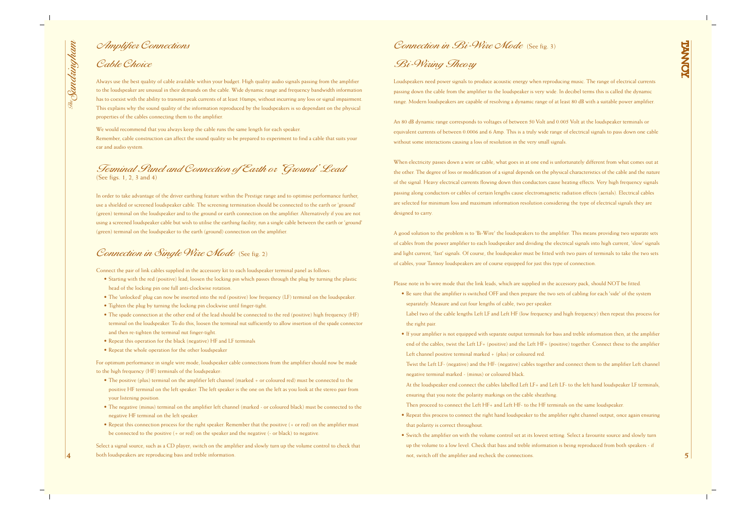**4**

- 
- 

In order to take advantage of the driver earthing feature within the Prestige range and to optimise performance further, use a shielded or screened loudspeaker cable. The screening termination should be connected to the earth or 'ground' (green) terminal on the loudspeaker and to the ground or earth connection on the amplifier. Alternatively if you are not using a screened loudspeaker cable but wish to utilise the earthing facility, run a single cable between the earth or 'ground' (green) terminal on the loudspeaker to the earth (ground) connection on the amplifier.

### Connection in Single Wire Mode (See fig. 2)

Terminal Panel and Connection of Earth or 'Ground' Lead (See figs. 1, 2, 3 and 4)

Connect the pair of link cables supplied in the accessory kit to each loudspeaker terminal panel as follows:

- Starting with the red (positive) lead, loosen the locking pin which passes through the plug by turning the plastic head of the locking pin one full anti-clockwise rotation.
- The 'unlocked' plug can now be inserted into the red (positive) low frequency (LF) terminal on the loudspeaker.
- Tighten the plug by turning the locking pin clockwise until finger-tight.
- The spade connection at the other end of the lead should be connected to the red (positive) high frequency (HF) terminal on the loudspeaker. To do this, loosen the terminal nut sufficiently to allow insertion of the spade connector and then re-tighten the terminal nut finger-tight.
- Repeat this operation for the black (negative) HF and LF terminals
- Repeat the whole operation for the other loudspeaker

For optimum performance in single wire mode, loudspeaker cable connections from the amplifier should now be made to the high frequency (HF) terminals of the loudspeaker:

An 80 dB dynamic range corresponds to voltages of between 50 Volt and 0.005 Volt at the loudspeaker terminals or equivalent currents of between 0.0006 and 6 Amp. This is a truly wide range of electrical signals to pass down one cable without some interactions causing a loss of resolution in the very small signals.

- The positive (plus) terminal on the amplifier left channel (marked + or coloured red) must be connected to the positive HF terminal on the left speaker. The left speaker is the one on the left as you look at the stereo pair from your listening position.
- The negative (minus) terminal on the amplifier left channel (marked or coloured black) must be connected to the negative HF terminal on the left speaker.
- Repeat this connection process for the right speaker. Remember that the positive (+ or red) on the amplifier must be connected to the positive (+ or red) on the speaker and the negative (- or black) to negative.

When electricity passes down a wire or cable, what goes in at one end is unfortunately different from what comes out at the other. The degree of loss or modification of a signal depends on the physical characteristics of the cable and the nature of the signal. Heavy electrical currents flowing down thin conductors cause heating effects. Very high frequency signals passing along conductors or cables of certain lengths cause electromagnetic radiation effects (aerials). Electrical cables are selected for minimum loss and maximum information resolution considering the type of electrical signals they are designed to carry.

Select a signal source, such as a CD player; switch on the amplifier and slowly turn up the volume control to check that both loudspeakers are reproducing bass and treble information.

# Connection in Bi-Wire Mode (See fig. 3)

#### Amplifier Connections

Always use the best quality of cable available within your budget. High quality audio signals passing from the amplifier to the loudspeaker are unusual in their demands on the cable. Wide dynamic range and frequency bandwidth information has to coexist with the ability to transmit peak currents of at least 10amps, without incurring any loss or signal impairment. This explains why the sound quality of the information reproduced by the loudspeakers is so dependant on the physical properties of the cables connecting them to the amplifier.

We would recommend that you always keep the cable runs the same length for each speaker.

Remember, cable construction can affect the sound quality so be prepared to experiment to find a cable that suits your ear and audio system.

## Cable Choice

Loudspeakers need power signals to produce acoustic energy when reproducing music. The range of electrical currents passing down the cable from the amplifier to the loudspeaker is very wide. In decibel terms this is called the dynamic range. Modern loudspeakers are capable of resolving a dynamic range of at least 80 dB with a suitable power amplifier.

A good solution to the problem is to 'Bi-Wire' the loudspeakers to the amplifier. This means providing two separate sets of cables from the power amplifier to each loudspeaker and dividing the electrical signals into high current, 'slow' signals and light current, 'fast' signals. Of course, the loudspeaker must be fitted with two pairs of terminals to take the two sets of cables; your Tannoy loudspeakers are of course equipped for just this type of connection.

Please note in bi-wire mode that the link leads, which are supplied in the accessory pack, should NOT be fitted.

- Be sure that the amplifier is switched OFF and then prepare the two sets of cabling for each 'side' of the system separately. Measure and cut four lengths of cable, two per speaker. Label two of the cable lengths Left LF and Left HF (low frequency and high frequency) then repeat this process for the right pair.
- If your amplifier is not equipped with separate output terminals for bass and treble information then, at the amplifier end of the cables, twist the Left LF+ (positive) and the Left HF+ (positive) together. Connect these to the amplifier Left channel positive terminal marked + (plus) or coloured red. Twist the Left LF- (negative) and the HF- (negative) cables together and connect them to the amplifier Left channel negative terminal marked - (minus) or coloured black.

At the loudspeaker end connect the cables labelled Left LF+ and Left LF- to the left hand loudspeaker LF terminals, ensuring that you note the polarity markings on the cable sheathing. Then proceed to connect the Left HF+ and Left HF- to the HF terminals on the same loudspeaker.

- Repeat this process to connect the right hand loudspeaker to the amplifier right channel output, once again ensuring that polarity is correct throughout.
- Switch the amplifier on with the volume control set at its lowest setting. Select a favourite source and slowly turn up the volume to a low level. Check that bass and treble information is being reproduced from both speakers - if not, switch off the amplifier and recheck the connections.

Bi-Wiring Theory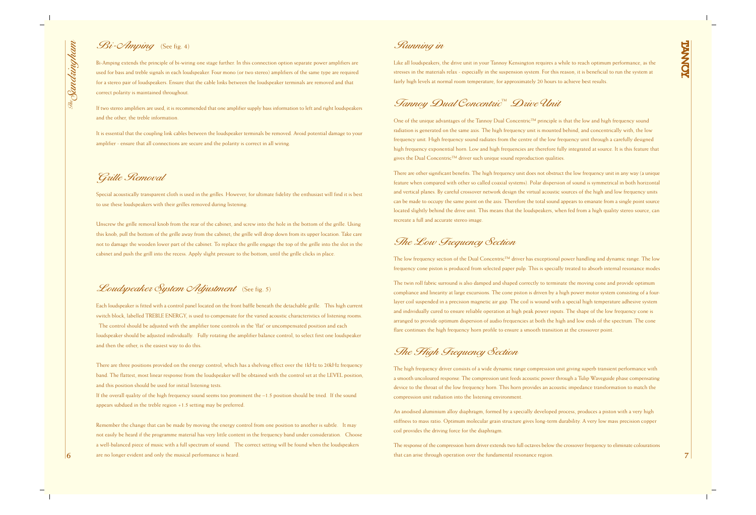### Bi-*Amping* (See fig. 4)

Bi-Amping extends the principle of bi-wiring one stage further. In this connection option separate power amplifiers are used for bass and treble signals in each loudspeaker. Four mono (or two stereo) amplifiers of the same type are required for a stereo pair of loudspeakers. Ensure that the cable links between the loudspeaker terminals are removed and that correct polarity is maintained throughout.

If two stereo amplifiers are used, it is recommended that one amplifier supply bass information to left and right loudspeakers and the other, the treble information.

It is essential that the coupling link cables between the loudspeaker terminals be removed. Avoid potential damage to your amplifier - ensure that all connections are secure and the polarity is correct in all wiring.

#### Grille Removal

Special acoustically transparent cloth is used in the grilles. However, for ultimate fidelity the enthusiast will find it is best to use these loudspeakers with their grilles removed during listening.

Unscrew the grille removal knob from the rear of the cabinet, and screw into the hole in the bottom of the grille. Using this knob, pull the bottom of the grille away from the cabinet; the grille will drop down from its upper location. Take care not to damage the wooden lower part of the cabinet. To replace the grille engage the top of the grille into the slot in the cabinet and push the grill into the recess. Apply slight pressure to the bottom, until the grille clicks in place.

Loudspeaker System Adjustment (See fig. 5)

The low frequency section of the Dual Concentric<sup>™</sup> driver has exceptional power handling and dynamic range. The low frequency cone piston is produced from selected paper pulp. This is specially treated to absorb internal resonance modes

Each loudspeaker is fitted with a control panel located on the front baffle beneath the detachable grille. This high current switch block, labelled TREBLE ENERGY, is used to compensate for the varied acoustic characteristics of listening rooms. The control should be adjusted with the amplifier tone controls in the 'flat' or uncompensated position and each loudspeaker should be adjusted individually. Fully rotating the amplifier balance control, to select first one loudspeaker and then the other, is the easiest way to do this.

There are three positions provided on the energy control, which has a shelving effect over the 1kHz to 20kHz frequency band. The flattest, most linear response from the loudspeaker will be obtained with the control set at the LEVEL position, and this position should be used for initial listening tests.

If the overall quality of the high frequency sound seems too prominent the –1.5 position should be tried. If the sound appears subdued in the treble region +1.5 setting may be preferred.

One of the unique advantages of the Tannoy Dual Concentric™ principle is that the low and high frequency sound radiation is generated on the same axis. The high frequency unit is mounted behind, and concentrically with, the low frequency unit. High frequency sound radiates from the centre of the low frequency unit through a carefully designed high frequency exponential horn. Low and high frequencies are therefore fully integrated at source. It is this feature that gives the Dual Concentric™ driver such unique sound reproduction qualities.

Remember the change that can be made by moving the energy control from one position to another is subtle. It may not easily be heard if the programme material has very little content in the frequency band under consideration. Choose a well-balanced piece of music with a full spectrum of sound. The correct setting will be found when the loudspeakers are no longer evident and only the musical performance is heard.

#### Running in

Like all loudspeakers, the drive unit in your Tannoy Kensington requires a while to reach optimum performance, as the stresses in the materials relax - especially in the suspension system. For this reason, it is beneficial to run the system at fairly high levels at normal room temperature, for approximately 20 hours to achieve best results.

### Tannoy Dual Concentric™ Drive Unit

### The Low Frequency Section

The twin roll fabric surround is also damped and shaped correctly to terminate the moving cone and provide optimum compliance and linearity at large excursions. The cone piston is driven by a high power motor system consisting of a fourlayer coil suspended in a precision magnetic air gap. The coil is wound with a special high temperature adhesive system and individually cured to ensure reliable operation at high peak power inputs. The shape of the low frequency cone is arranged to provide optimum dispersion of audio frequencies at both the high and low ends of the spectrum. The cone flare continues the high frequency horn profile to ensure a smooth transition at the crossover point.

The High Frequency Section

The high frequency driver consists of a wide dynamic range compression unit giving superb transient performance with a smooth uncoloured response. The compression unit feeds acoustic power through a Tulip Waveguide phase compensating device to the throat of the low frequency horn. This horn provides an acoustic impedance transformation to match the compression unit radiation into the listening environment.

An anodised aluminium alloy diaphragm, formed by a specially developed process, produces a piston with a very high stiffness to mass ratio. Optimum molecular grain structure gives long-term durability. A very low mass precision copper coil provides the driving force for the diaphragm.

The response of the compression horn driver extends two full octaves below the crossover frequency to eliminate colourations that can arise through operation over the fundamental resonance region.

There are other significant benefits. The high frequency unit does not obstruct the low frequency unit in any way (a unique feature when compared with other so called coaxial systems). Polar dispersion of sound is symmetrical in both horizontal and vertical planes. By careful crossover network design the virtual acoustic sources of the high and low frequency units can be made to occupy the same point on the axis. Therefore the total sound appears to emanate from a single point source located slightly behind the drive unit. This means that the loudspeakers, when fed from a high quality stereo source, can recreate a full and accurate stereo image.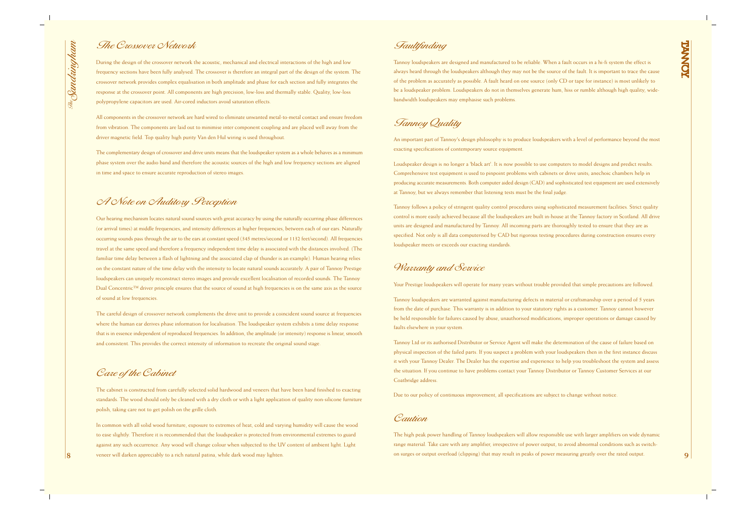

## A Note on Auditory Perception

Our hearing mechanism locates natural sound sources with great accuracy by using the naturally occurring phase differences (or arrival times) at middle frequencies, and intensity differences at higher frequencies, between each of our ears. Naturally occurring sounds pass through the air to the ears at constant speed (345 metres/second or 1132 feet/second). All frequencies travel at the same speed and therefore a frequency independent time delay is associated with the distances involved. (The familiar time delay between a flash of lightning and the associated clap of thunder is an example). Human hearing relies on the constant nature of the time delay with the intensity to locate natural sounds accurately. A pair of Tannoy Prestige loudspeakers can uniquely reconstruct stereo images and provide excellent localisation of recorded sounds. The Tannoy Dual Concentric<sup>™</sup> driver principle ensures that the source of sound at high frequencies is on the same axis as the source of sound at low frequencies.

The careful design of crossover network complements the drive unit to provide a coincident sound source at frequencies where the human ear derives phase information for localisation. The loudspeaker system exhibits a time delay response that is in essence independent of reproduced frequencies. In addition, the amplitude (or intensity) response is linear, smooth and consistent. This provides the correct intensity of information to recreate the original sound stage.

#### Care of the Cabinet

The cabinet is constructed from carefully selected solid hardwood and veneers that have been hand finished to exacting standards. The wood should only be cleaned with a dry cloth or with a light application of quality non-silicone furniture polish, taking care not to get polish on the grille cloth.

In common with all solid wood furniture, exposure to extremes of heat, cold and varying humidity will cause the wood to ease slightly. Therefore it is recommended that the loudspeaker is protected from environmental extremes to guard against any such occurrence. Any wood will change colour when subjected to the UV content of ambient light. Light veneer will darken appreciably to a rich natural patina, while dark wood may lighten.

#### The Crossover Network

During the design of the crossover network the acoustic, mechanical and electrical interactions of the high and low frequency sections have been fully analysed. The crossover is therefore an integral part of the design of the system. The crossover network provides complex equalisation in both amplitude and phase for each section and fully integrates the response at the crossover point. All components are high precision, low-loss and thermally stable. Quality, low-loss polypropylene capacitors are used. Air-cored inductors avoid saturation effects.

All components in the crossover network are hard wired to eliminate unwanted metal-to-metal contact and ensure freedom from vibration. The components are laid out to minimise inter component coupling and are placed well away from the driver magnetic field. Top quality high purity Van den Hul wiring is used throughout.

The complementary design of crossover and drive units means that the loudspeaker system as a whole behaves as a minimum phase system over the audio band and therefore the acoustic sources of the high and low frequency sections are aligned in time and space to ensure accurate reproduction of stereo images.

Tannoy Quality

An important part of Tannoy's design philosophy is to produce loudspeakers with a level of performance beyond the most exacting specifications of contemporary source equipment.

Loudspeaker design is no longer a 'black art'. It is now possible to use computers to model designs and predict results. Comprehensive test equipment is used to pinpoint problems with cabinets or drive units; anechoic chambers help in producing accurate measurements. Both computer aided design (CAD) and sophisticated test equipment are used extensively at Tannoy, but we always remember that listening tests must be the final judge.

Tannoy follows a policy of stringent quality control procedures using sophisticated measurement facilities. Strict quality control is more easily achieved because all the loudspeakers are built in-house at the Tannoy factory in Scotland. All drive units are designed and manufactured by Tannoy. All incoming parts are thoroughly tested to ensure that they are as specified. Not only is all data computerised by CAD but rigorous testing procedures during construction ensures every loudspeaker meets or exceeds our exacting standards.

### Warranty and Sewice

#### Faultfinding

Tannoy loudspeakers are designed and manufactured to be reliable. When a fault occurs in a hi-fi system the effect is always heard through the loudspeakers although they may not be the source of the fault. It is important to trace the cause of the problem as accurately as possible. A fault heard on one source (only CD or tape for instance) is most unlikely to be a loudspeaker problem. Loudspeakers do not in themselves generate hum, hiss or rumble although high quality, widebandwidth loudspeakers may emphasise such problems.

Your Prestige loudspeakers will operate for many years without trouble provided that simple precautions are followed.

Tannoy loudspeakers are warranted against manufacturing defects in material or craftsmanship over a period of 5 years from the date of purchase. This warranty is in addition to your statutory rights as a customer. Tannoy cannot however be held responsible for failures caused by abuse, unauthorised modifications, improper operations or damage caused by faults elsewhere in your system.

Tannoy Ltd or its authorised Distributor or Service Agent will make the determination of the cause of failure based on physical inspection of the failed parts. If you suspect a problem with your loudspeakers then in the first instance discuss it with your Tannoy Dealer. The Dealer has the expertise and experience to help you troubleshoot the system and assess the situation. If you continue to have problems contact your Tannoy Distributor or Tannoy Customer Services at our Coatbridge address.

Due to our policy of continuous improvement, all specifications are subject to change without notice.

#### Caution

The high peak power handling of Tannoy loudspeakers will allow responsible use with larger amplifiers on wide dynamic range material. Take care with any amplifier, irrespective of power output, to avoid abnormal conditions such as switchon surges or output overload (clipping) that may result in peaks of power measuring greatly over the rated output.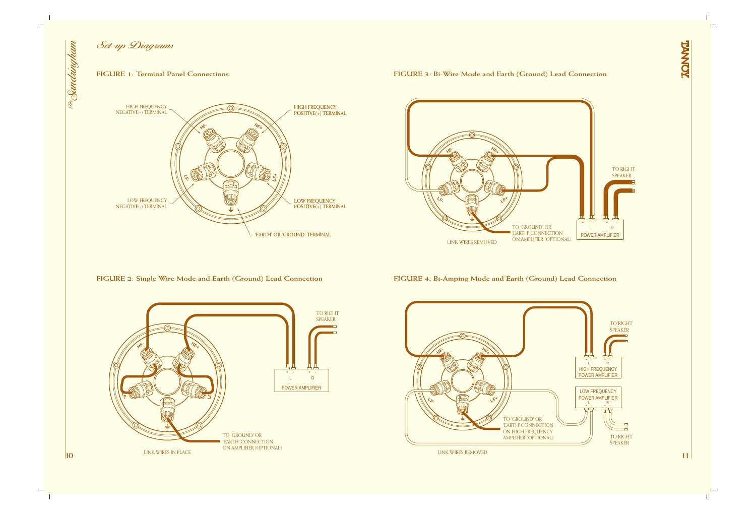

Set-up Diagrams

#### **FIGURE 1: Terminal Panel Connections**



**FIGURE 2: Single Wire Mode and Earth (Ground) Lead Connection**



#### **FIGURE 3: Bi-Wire Mode and Earth (Ground) Lead Connection**



**FIGURE 4: Bi-Amping Mode and Earth (Ground) Lead Connection**



LINK WIRES REMOVED